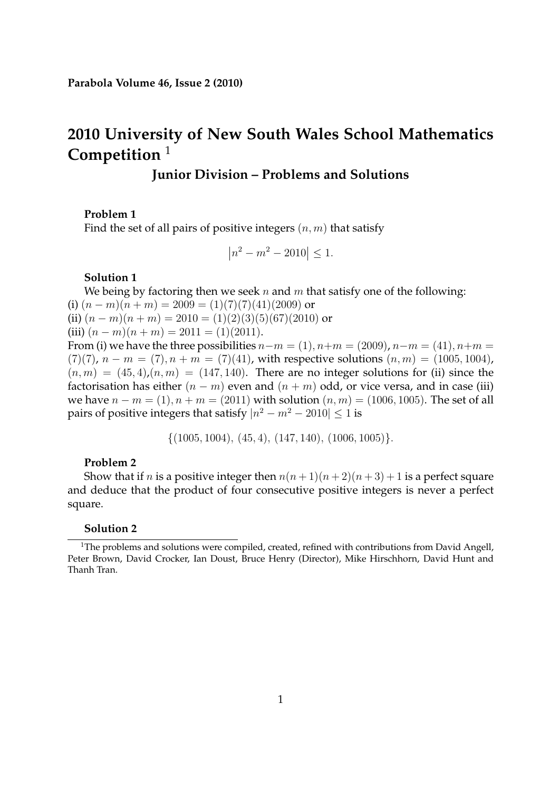# **2010 University of New South Wales School Mathematics Competition** <sup>1</sup>

# **Junior Division – Problems and Solutions**

#### **Problem 1**

Find the set of all pairs of positive integers  $(n, m)$  that satisfy

$$
\left| n^2 - m^2 - 2010 \right| \le 1.
$$

# **Solution 1**

We being by factoring then we seek n and m that satisfy one of the following: (i)  $(n-m)(n+m) = 2009 = (1)(7)(7)(41)(2009)$  or (ii)  $(n-m)(n+m) = 2010 = (1)(2)(3)(5)(67)(2010)$  or (iii)  $(n - m)(n + m) = 2011 = (1)(2011)$ . From (i) we have the three possibilities  $n-m = (1), n+m = (2009), n-m = (41), n+m =$ (7)(7),  $n - m = (7)$ ,  $n + m = (7)(41)$ , with respective solutions  $(n, m) = (1005, 1004)$ ,

 $(n, m) = (45, 4)$ ,  $(n, m) = (147, 140)$ . There are no integer solutions for (ii) since the factorisation has either  $(n - m)$  even and  $(n + m)$  odd, or vice versa, and in case (iii) we have  $n - m = (1)$ ,  $n + m = (2011)$  with solution  $(n, m) = (1006, 1005)$ . The set of all pairs of positive integers that satisfy  $|n^2 - m^2 - 2010| \le 1$  is

 $\{(1005, 1004), (45, 4), (147, 140), (1006, 1005)\}.$ 

# **Problem 2**

Show that if *n* is a positive integer then  $n(n+1)(n+2)(n+3)+1$  is a perfect square and deduce that the product of four consecutive positive integers is never a perfect square.

#### **Solution 2**

<sup>&</sup>lt;sup>1</sup>The problems and solutions were compiled, created, refined with contributions from David Angell, Peter Brown, David Crocker, Ian Doust, Bruce Henry (Director), Mike Hirschhorn, David Hunt and Thanh Tran.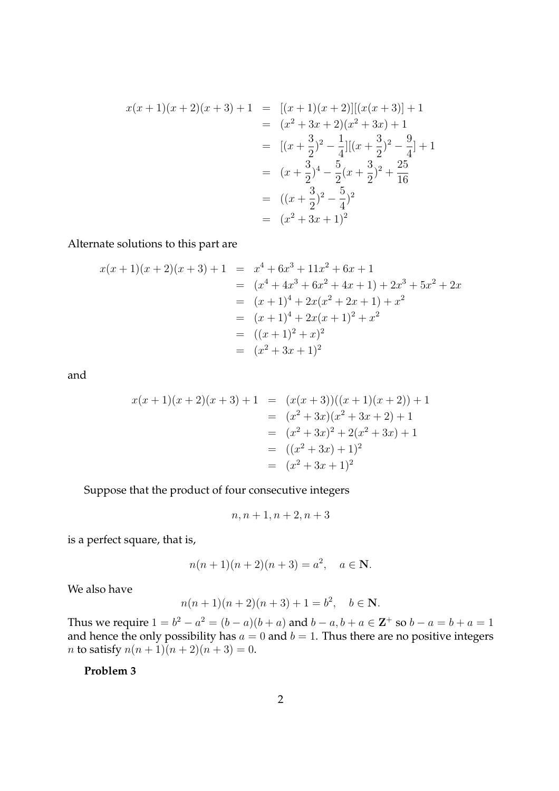$$
x(x+1)(x+2)(x+3) + 1 = [(x+1)(x+2)][(x(x+3)) + 1]
$$
  
\n
$$
= (x^2 + 3x + 2)(x^2 + 3x) + 1
$$
  
\n
$$
= [(x+\frac{3}{2})^2 - \frac{1}{4}][(x+\frac{3}{2})^2 - \frac{9}{4}] + 1
$$
  
\n
$$
= (x+\frac{3}{2})^4 - \frac{5}{2}(x+\frac{3}{2})^2 + \frac{25}{16}
$$
  
\n
$$
= ((x+\frac{3}{2})^2 - \frac{5}{4})^2
$$
  
\n
$$
= (x^2 + 3x + 1)^2
$$

Alternate solutions to this part are

$$
x(x + 1)(x + 2)(x + 3) + 1 = x4 + 6x3 + 11x2 + 6x + 1
$$
  
=  $(x4 + 4x3 + 6x2 + 4x + 1) + 2x3 + 5x2 + 2x$   
=  $(x + 1)4 + 2x(x2 + 2x + 1) + x2$   
=  $(x + 1)4 + 2x(x + 1)2 + x2$   
=  $((x + 1)2 + x)2$   
=  $(x2 + 3x + 1)2$ 

and

$$
x(x+1)(x+2)(x+3) + 1 = (x(x+3))((x+1)(x+2)) + 1
$$
  
=  $(x^2 + 3x)(x^2 + 3x + 2) + 1$   
=  $(x^2 + 3x)^2 + 2(x^2 + 3x) + 1$   
=  $((x^2 + 3x) + 1)^2$   
=  $(x^2 + 3x + 1)^2$ 

Suppose that the product of four consecutive integers

$$
n, n+1, n+2, n+3
$$

is a perfect square, that is,

$$
n(n+1)(n+2)(n+3) = a^2, \quad a \in \mathbb{N}.
$$

We also have

$$
n(n+1)(n+2)(n+3) + 1 = b^2, \quad b \in \mathbb{N}.
$$

Thus we require  $1 = b^2 - a^2 = (b - a)(b + a)$  and  $b - a, b + a \in \mathbb{Z}^+$  so  $b - a = b + a = 1$ and hence the only possibility has  $a = 0$  and  $b = 1$ . Thus there are no positive integers *n* to satisfy  $n(n + 1)(n + 2)(n + 3) = 0$ .

**Problem 3**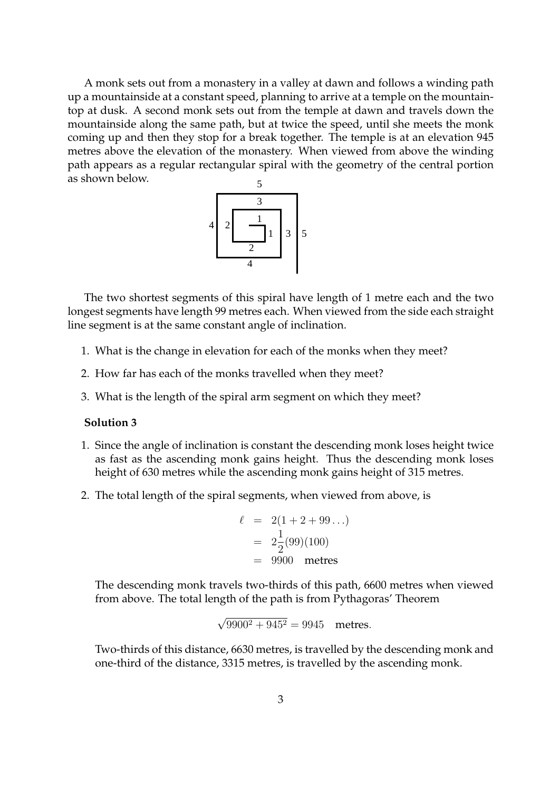A monk sets out from a monastery in a valley at dawn and follows a winding path up a mountainside at a constant speed, planning to arrive at a temple on the mountaintop at dusk. A second monk sets out from the temple at dawn and travels down the mountainside along the same path, but at twice the speed, until she meets the monk coming up and then they stop for a break together. The temple is at an elevation 945 metres above the elevation of the monastery. When viewed from above the winding path appears as a regular rectangular spiral with the geometry of the central portion as shown below.



The two shortest segments of this spiral have length of 1 metre each and the two longest segments have length 99 metres each. When viewed from the side each straight line segment is at the same constant angle of inclination.

- 1. What is the change in elevation for each of the monks when they meet?
- 2. How far has each of the monks travelled when they meet?
- 3. What is the length of the spiral arm segment on which they meet?

## **Solution 3**

- 1. Since the angle of inclination is constant the descending monk loses height twice as fast as the ascending monk gains height. Thus the descending monk loses height of 630 metres while the ascending monk gains height of 315 metres.
- 2. The total length of the spiral segments, when viewed from above, is

$$
\ell = 2(1 + 2 + 99...)
$$
  
=  $2\frac{1}{2}(99)(100)$   
= 9900 metres

The descending monk travels two-thirds of this path, 6600 metres when viewed from above. The total length of the path is from Pythagoras' Theorem

$$
\sqrt{9900^2 + 945^2} = 9945
$$
 metres.

Two-thirds of this distance, 6630 metres, is travelled by the descending monk and one-third of the distance, 3315 metres, is travelled by the ascending monk.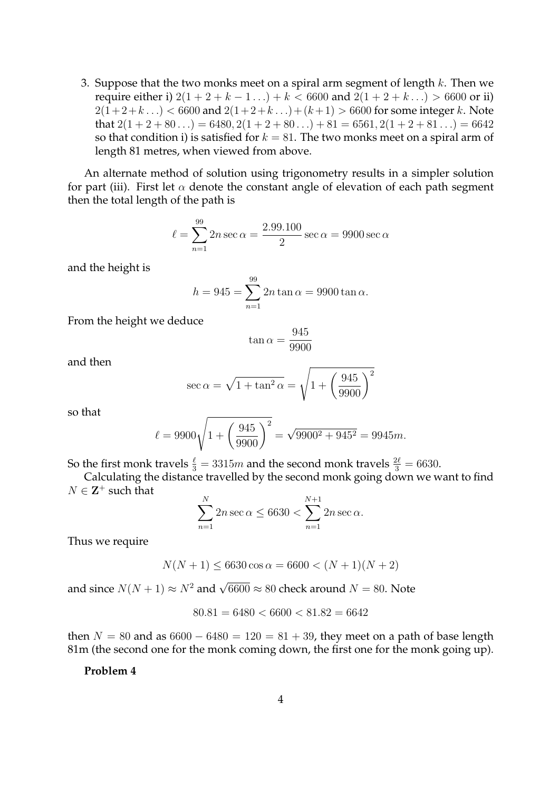3. Suppose that the two monks meet on a spiral arm segment of length  $k$ . Then we require either i)  $2(1 + 2 + k - 1 ...)$  +  $k < 6600$  and  $2(1 + 2 + k ...)$  > 6600 or ii)  $2(1+2+k...) < 6600$  and  $2(1+2+k...) + (k+1) > 6600$  for some integer k. Note that  $2(1+2+80...) = 6480, 2(1+2+80...) + 81 = 6561, 2(1+2+81...) = 6642$ so that condition i) is satisfied for  $k = 81$ . The two monks meet on a spiral arm of length 81 metres, when viewed from above.

An alternate method of solution using trigonometry results in a simpler solution for part (iii). First let  $\alpha$  denote the constant angle of elevation of each path segment then the total length of the path is

$$
\ell = \sum_{n=1}^{99} 2n \sec \alpha = \frac{2.99.100}{2} \sec \alpha = 9900 \sec \alpha
$$

and the height is

$$
h = 945 = \sum_{n=1}^{99} 2n \tan \alpha = 9900 \tan \alpha.
$$

From the height we deduce

$$
\tan \alpha = \frac{945}{9900}
$$

and then

$$
\sec \alpha = \sqrt{1 + \tan^2 \alpha} = \sqrt{1 + \left(\frac{945}{9900}\right)^2}
$$

so that

$$
\ell = 9900\sqrt{1 + \left(\frac{945}{9900}\right)^2} = \sqrt{9900^2 + 945^2} = 9945m.
$$

So the first monk travels  $\frac{\ell}{3} = 3315m$  and the second monk travels  $\frac{2\ell}{3} = 6630$ .

Calculating the distance travelled by the second monk going down we want to find  $N \in \mathbf{Z}^+$  such that

$$
\sum_{n=1}^{N} 2n \sec \alpha \le 6630 < \sum_{n=1}^{N+1} 2n \sec \alpha.
$$

Thus we require

$$
N(N+1) \le 6630 \cos \alpha = 6600 < (N+1)(N+2)
$$

and since  $N(N + 1) \approx N^2$  and  $\sqrt{6600} \approx 80$  check around  $N = 80$ . Note

$$
80.81 = 6480 < 6600 < 81.82 = 6642
$$

then  $N = 80$  and as  $6600 - 6480 = 120 = 81 + 39$ , they meet on a path of base length 81m (the second one for the monk coming down, the first one for the monk going up).

**Problem 4**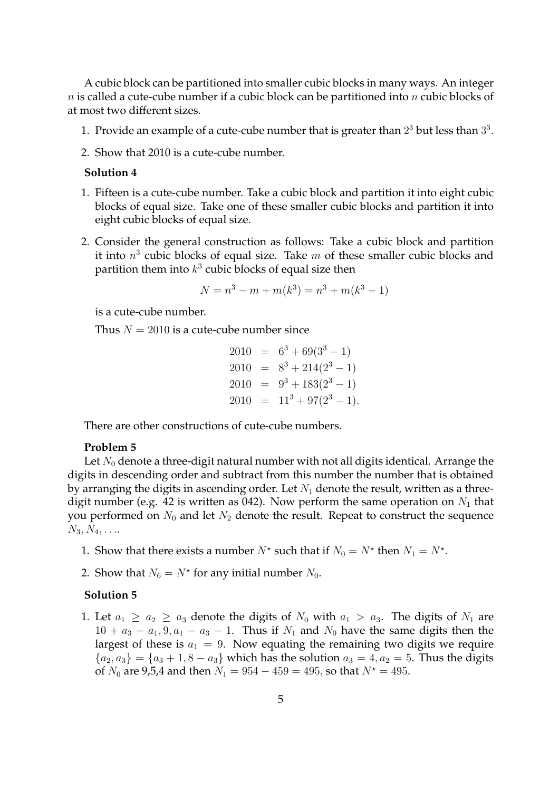A cubic block can be partitioned into smaller cubic blocks in many ways. An integer  $n$  is called a cute-cube number if a cubic block can be partitioned into  $n$  cubic blocks of at most two different sizes.

- 1. Provide an example of a cute-cube number that is greater than  $2^3$  but less than  $3^3$ .
- 2. Show that 2010 is a cute-cube number.

#### **Solution 4**

- 1. Fifteen is a cute-cube number. Take a cubic block and partition it into eight cubic blocks of equal size. Take one of these smaller cubic blocks and partition it into eight cubic blocks of equal size.
- 2. Consider the general construction as follows: Take a cubic block and partition it into  $n^3$  cubic blocks of equal size. Take  $m$  of these smaller cubic blocks and partition them into  $k^3$  cubic blocks of equal size then

$$
N = n3 - m + m(k3) = n3 + m(k3 - 1)
$$

is a cute-cube number.

Thus  $N = 2010$  is a cute-cube number since

$$
2010 = 63 + 69(33 - 1)
$$
  
\n
$$
2010 = 83 + 214(23 - 1)
$$
  
\n
$$
2010 = 93 + 183(23 - 1)
$$
  
\n
$$
2010 = 113 + 97(23 - 1).
$$

There are other constructions of cute-cube numbers.

#### **Problem 5**

Let  $N_0$  denote a three-digit natural number with not all digits identical. Arrange the digits in descending order and subtract from this number the number that is obtained by arranging the digits in ascending order. Let  $N_1$  denote the result, written as a threedigit number (e.g. 42 is written as 042). Now perform the same operation on  $N_1$  that you performed on  $N_0$  and let  $N_2$  denote the result. Repeat to construct the sequence  $N_3, N_4, \ldots$ 

- 1. Show that there exists a number  $N^*$  such that if  $N_0 = N^*$  then  $N_1 = N^*$ .
- 2. Show that  $N_6 = N^*$  for any initial number  $N_0$ .

#### **Solution 5**

1. Let  $a_1 \ge a_2 \ge a_3$  denote the digits of  $N_0$  with  $a_1 > a_3$ . The digits of  $N_1$  are  $10 + a_3 - a_1, 9, a_1 - a_3 - 1$ . Thus if  $N_1$  and  $N_0$  have the same digits then the largest of these is  $a_1 = 9$ . Now equating the remaining two digits we require  ${a_2, a_3} = {a_3 + 1, 8 - a_3}$  which has the solution  $a_3 = 4, a_2 = 5$ . Thus the digits of  $N_0$  are 9,5,4 and then  $N_1 = 954 - 459 = 495$ , so that  $N^* = 495$ .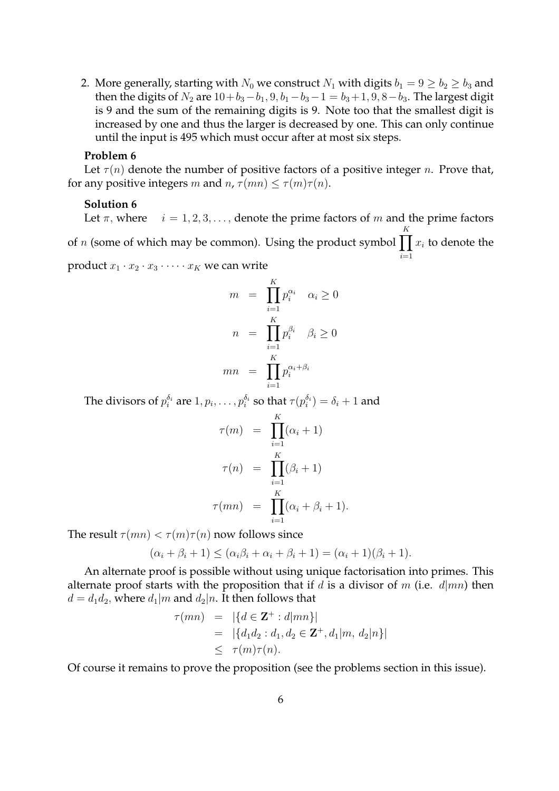2. More generally, starting with  $N_0$  we construct  $N_1$  with digits  $b_1 = 9 \ge b_2 \ge b_3$  and then the digits of  $N_2$  are  $10+b_3-b_1$ ,  $9, b_1-b_3-1=b_3+1$ ,  $9, 8-b_3$ . The largest digit is 9 and the sum of the remaining digits is 9. Note too that the smallest digit is increased by one and thus the larger is decreased by one. This can only continue until the input is 495 which must occur after at most six steps.

#### **Problem 6**

Let  $\tau(n)$  denote the number of positive factors of a positive integer n. Prove that, for any positive integers m and  $n, \tau(mn) \leq \tau(m)\tau(n)$ .

#### **Solution 6**

Let  $\pi$ , where  $i = 1, 2, 3, \dots$ , denote the prime factors of m and the prime factors of n (some of which may be common). Using the product symbol  $\prod x_i$  to denote the K  $i=1$ 

product  $x_1 \cdot x_2 \cdot x_3 \cdot \cdots \cdot x_K$  we can write

$$
m = \prod_{i=1}^{K} p_i^{\alpha_i} \quad \alpha_i \ge 0
$$

$$
n = \prod_{i=1}^{K} p_i^{\beta_i} \quad \beta_i \ge 0
$$

$$
mn = \prod_{i=1}^{K} p_i^{\alpha_i + \beta_i}
$$

The divisors of  $p_i^{\delta_i}$  $\frac{\delta_i}{i}$  are  $1, p_i, \ldots, p_i^{\delta_i}$  $_{i}^{\delta_{i}}$  so that  $\tau(p_{i}^{\delta_{i}})$  $\binom{o_i}{i} = \delta_i + 1$  and

$$
\tau(m) = \prod_{i=1}^{K} (\alpha_i + 1)
$$

$$
\tau(n) = \prod_{i=1}^{K} (\beta_i + 1)
$$

$$
\tau(mn) = \prod_{i=1}^{K} (\alpha_i + \beta_i + 1).
$$

The result  $\tau(mn) < \tau(m)\tau(n)$  now follows since

$$
(\alpha_i + \beta_i + 1) \leq (\alpha_i \beta_i + \alpha_i + \beta_i + 1) = (\alpha_i + 1)(\beta_i + 1).
$$

An alternate proof is possible without using unique factorisation into primes. This alternate proof starts with the proposition that if d is a divisor of m (i.e.  $d | mn$ ) then  $d = d_1d_2$ , where  $d_1|m$  and  $d_2|n$ . It then follows that

$$
\tau(mn) = |\{d \in \mathbf{Z}^+ : d|mn\}|
$$
  
= |\{d\_1d\_2 : d\_1, d\_2 \in \mathbf{Z}^+, d\_1|m, d\_2|n\}|  

$$
\leq \tau(m)\tau(n).
$$

Of course it remains to prove the proposition (see the problems section in this issue).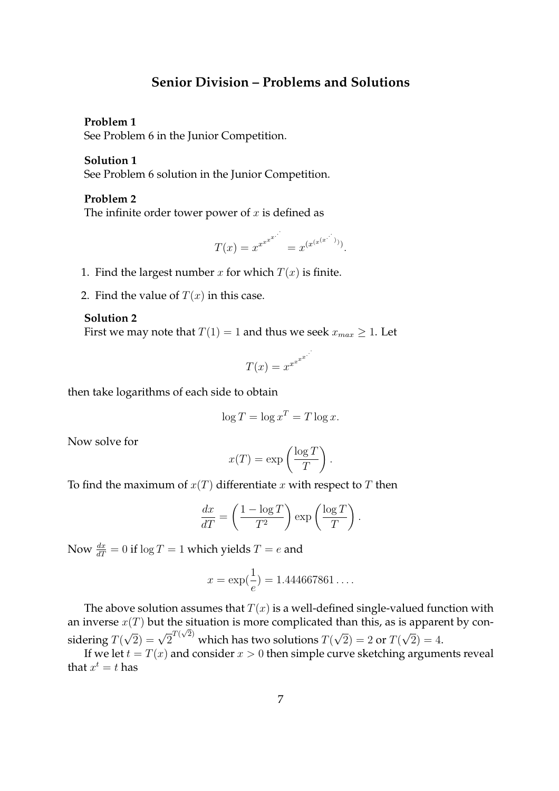# **Senior Division – Problems and Solutions**

#### **Problem 1**

See Problem 6 in the Junior Competition.

#### **Solution 1**

See Problem 6 solution in the Junior Competition.

# **Problem 2**

The infinite order tower power of  $x$  is defined as

$$
T(x) = x^{x^{x^{x^{x^{\cdot^{\cdot^{\cdot}}}}}}}
$$

- 1. Find the largest number x for which  $T(x)$  is finite.
- 2. Find the value of  $T(x)$  in this case.

## **Solution 2**

First we may note that  $T(1) = 1$  and thus we seek  $x_{max} \geq 1$ . Let

$$
T(x) = x^{x^{x^{x^{\cdot^{\cdot^{\cdot}}}}}}
$$

.

then take logarithms of each side to obtain

$$
\log T = \log x^T = T \log x.
$$

Now solve for

$$
x(T) = \exp\left(\frac{\log T}{T}\right).
$$

To find the maximum of  $x(T)$  differentiate x with respect to T then

$$
\frac{dx}{dT} = \left(\frac{1 - \log T}{T^2}\right) \exp\left(\frac{\log T}{T}\right).
$$

Now  $\frac{dx}{dT} = 0$  if  $\log T = 1$  which yields  $T = e$  and

$$
x = \exp(\frac{1}{e}) = 1.444667861\dots.
$$

The above solution assumes that  $T(x)$  is a well-defined single-valued function with an inverse  $x(T)$  but the situation is more complicated than this, as is apparent by considering  $T(\sqrt{2}) = \sqrt{2}^{T(\sqrt{2})}$  which has two solutions  $T(\sqrt{2}) = 2$  or  $T(\sqrt{2}) = 4$ .

If we let  $t = T(x)$  and consider  $x > 0$  then simple curve sketching arguments reveal that  $x^t = t$  has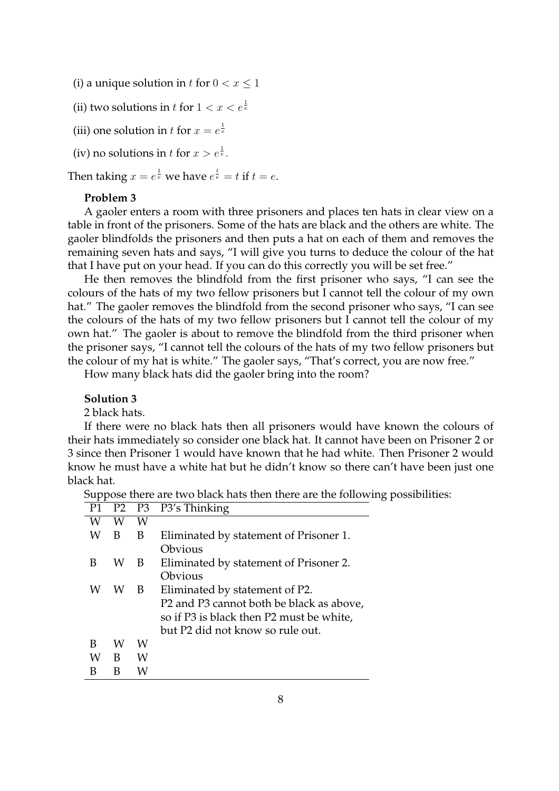- (i) a unique solution in t for  $0 < x \leq 1$
- (ii) two solutions in  $t$  for  $1 < x < e^{\frac{1}{e}}$
- (iii) one solution in t for  $x = e^{\frac{1}{e}}$
- (iv) no solutions in t for  $x > e^{\frac{1}{e}}$ .

Then taking  $x = e^{\frac{1}{e}}$  we have  $e^{\frac{t}{e}} = t$  if  $t = e$ .

# **Problem 3**

A gaoler enters a room with three prisoners and places ten hats in clear view on a table in front of the prisoners. Some of the hats are black and the others are white. The gaoler blindfolds the prisoners and then puts a hat on each of them and removes the remaining seven hats and says, "I will give you turns to deduce the colour of the hat that I have put on your head. If you can do this correctly you will be set free."

He then removes the blindfold from the first prisoner who says, "I can see the colours of the hats of my two fellow prisoners but I cannot tell the colour of my own hat." The gaoler removes the blindfold from the second prisoner who says, "I can see the colours of the hats of my two fellow prisoners but I cannot tell the colour of my own hat." The gaoler is about to remove the blindfold from the third prisoner when the prisoner says, "I cannot tell the colours of the hats of my two fellow prisoners but the colour of my hat is white." The gaoler says, "That's correct, you are now free."

How many black hats did the gaoler bring into the room?

# **Solution 3**

2 black hats.

If there were no black hats then all prisoners would have known the colours of their hats immediately so consider one black hat. It cannot have been on Prisoner 2 or 3 since then Prisoner 1 would have known that he had white. Then Prisoner 2 would know he must have a white hat but he didn't know so there can't have been just one black hat.

Suppose there are two black hats then there are the following possibilities:

| P1 |   |    | P2 P3 P3's Thinking                      |
|----|---|----|------------------------------------------|
| W  | W | W  |                                          |
| W  | B | B  | Eliminated by statement of Prisoner 1.   |
|    |   |    | Obvious                                  |
| В  | W | B. | Eliminated by statement of Prisoner 2.   |
|    |   |    | Obvious                                  |
| W  | W | B  | Eliminated by statement of P2.           |
|    |   |    | P2 and P3 cannot both be black as above, |
|    |   |    | so if P3 is black then P2 must be white, |
|    |   |    | but P2 did not know so rule out.         |
| B  | W | W  |                                          |
| W  | B | W  |                                          |
|    | В | w  |                                          |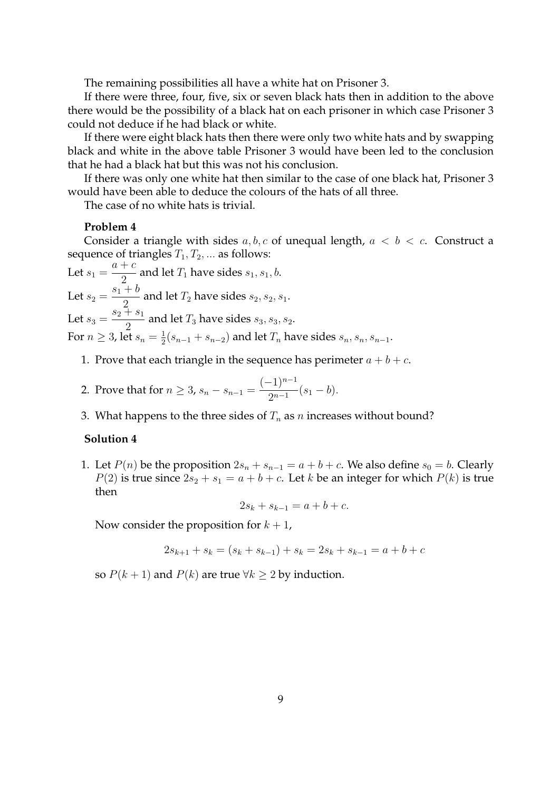The remaining possibilities all have a white hat on Prisoner 3.

If there were three, four, five, six or seven black hats then in addition to the above there would be the possibility of a black hat on each prisoner in which case Prisoner 3 could not deduce if he had black or white.

If there were eight black hats then there were only two white hats and by swapping black and white in the above table Prisoner 3 would have been led to the conclusion that he had a black hat but this was not his conclusion.

If there was only one white hat then similar to the case of one black hat, Prisoner 3 would have been able to deduce the colours of the hats of all three.

The case of no white hats is trivial.

#### **Problem 4**

Consider a triangle with sides  $a, b, c$  of unequal length,  $a < b < c$ . Construct a sequence of triangles  $T_1, T_2, \ldots$  as follows:

Let  $s_1 =$  $a + c$  $\frac{1}{2}$  and let  $T_1$  have sides  $s_1, s_1, b$ . Let  $s_2 =$  $s_1 + b$  $\frac{1}{2}$  and let  $T_2$  have sides  $s_2, s_2, s_1$ . Let  $s_3 =$  $s_2 + s_1$  $\frac{1}{2}$  and let  $T_3$  have sides  $s_3, s_3, s_2$ . For  $n \geq 3$ , let  $s_n = \frac{1}{2}$  $\frac{1}{2}(s_{n-1}+s_{n-2})$  and let  $T_n$  have sides  $s_n, s_n, s_{n-1}.$ 

- 1. Prove that each triangle in the sequence has perimeter  $a + b + c$ .
- 2. Prove that for  $n \geq 3$ ,  $s_n s_{n-1} =$  $(-1)^{n-1}$  $\frac{1}{2^{n-1}}(s_1-b).$
- 3. What happens to the three sides of  $T_n$  as n increases without bound?

## **Solution 4**

1. Let  $P(n)$  be the proposition  $2s_n + s_{n-1} = a + b + c$ . We also define  $s_0 = b$ . Clearly  $P(2)$  is true since  $2s_2 + s_1 = a + b + c$ . Let k be an integer for which  $P(k)$  is true then

$$
2s_k + s_{k-1} = a + b + c.
$$

Now consider the proposition for  $k + 1$ ,

$$
2s_{k+1} + s_k = (s_k + s_{k-1}) + s_k = 2s_k + s_{k-1} = a + b + c
$$

so  $P(k + 1)$  and  $P(k)$  are true  $\forall k \geq 2$  by induction.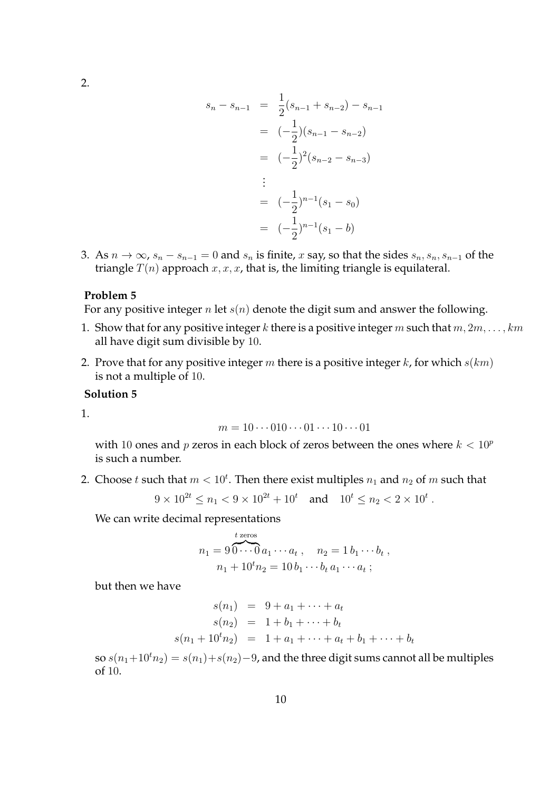2.

$$
s_n - s_{n-1} = \frac{1}{2}(s_{n-1} + s_{n-2}) - s_{n-1}
$$
  

$$
= (-\frac{1}{2})(s_{n-1} - s_{n-2})
$$
  

$$
= (-\frac{1}{2})^2(s_{n-2} - s_{n-3})
$$
  

$$
\vdots
$$
  

$$
= (-\frac{1}{2})^{n-1}(s_1 - s_0)
$$
  

$$
= (-\frac{1}{2})^{n-1}(s_1 - b)
$$

3. As  $n \to \infty$ ,  $s_n - s_{n-1} = 0$  and  $s_n$  is finite, x say, so that the sides  $s_n, s_n, s_{n-1}$  of the triangle  $T(n)$  approach  $x, x, x$ , that is, the limiting triangle is equilateral.

## **Problem 5**

For any positive integer  $n$  let  $s(n)$  denote the digit sum and answer the following.

- 1. Show that for any positive integer k there is a positive integer m such that  $m, 2m, \ldots, km$ all have digit sum divisible by 10.
- 2. Prove that for any positive integer m there is a positive integer  $k$ , for which  $s(km)$ is not a multiple of 10.

# **Solution 5**

1.

$$
m = 10 \cdots 010 \cdots 01 \cdots 10 \cdots 01
$$

with 10 ones and p zeros in each block of zeros between the ones where  $k < 10^p$ is such a number.

2. Choose t such that  $m < 10^t$ . Then there exist multiples  $n_1$  and  $n_2$  of  $m$  such that

$$
9 \times 10^{2t} \le n_1 < 9 \times 10^{2t} + 10^t \quad \text{and} \quad 10^t \le n_2 < 2 \times 10^t \, .
$$

We can write decimal representations

$$
n_1 = 9 \overbrace{0 \cdots 0}^{t \text{ zeros}} a_1 \cdots a_t, \quad n_2 = 1 b_1 \cdots b_t ,
$$
  

$$
n_1 + 10^t n_2 = 10 b_1 \cdots b_t a_1 \cdots a_t ;
$$

but then we have

$$
s(n_1) = 9 + a_1 + \dots + a_t
$$
  
\n
$$
s(n_2) = 1 + b_1 + \dots + b_t
$$
  
\n
$$
s(n_1 + 10^t n_2) = 1 + a_1 + \dots + a_t + b_1 + \dots + b_t
$$

so  $s(n_1+10^tn_2) = s(n_1)+s(n_2)-9$ , and the three digit sums cannot all be multiples of 10.